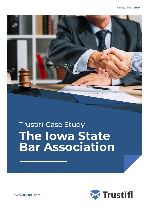

# Trustifi Case Study **The Iowa State Bar Association**



www.**[trustifi](http://www.trustifi.com)**.com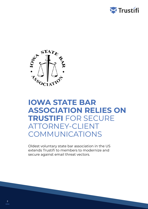



### **IOWA STATE BAR ASSOCIATION RELIES ON TRUSTIFI** FOR SECURE ATTORNEY-CLIENT COMMUNICATIONS

Oldest voluntary state bar association in the US extends Trustifi to members to modernize and secure against email threat vectors.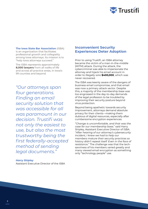

#### **[The Iowa State Bar Association](https://www.iowabar.org/)** (ISBA) is an organization that facilitates professional growth and collegiality among Iowa attorneys. Its mission is to "help Iowa attorneys succeed."

The ISBA represents approximately **8,000 lawyers** from all walks of life and across all practice areas, in Iowa's 99 counties and beyond.

*"Our attorneys span four generations. Finding an email security solution that was accessible for all was paramount in our decision. Trustifi was not only the easiest to use, but also the most trustworthy being the first federally-accepted method of sending legal documents."* 

#### *Harry Shipley*

Assistant Executive Director of the ISBA

#### **Inconvenient Security Experiences Deter Adoption**

Prior to using Trustifi, an ISBA attorney became the victim of a man-in-the-middle (MITM) attack. During the attack, the cybercriminal was able to impersonate the attorney and hijack his email account in order to illegally wire **\$400,000**, which was never recovered.

The ISBA was keenly aware of the dangers of business email compromise, and that email was now a primary attack vector. Despite this, a majority of the membership base was too engrossed in the day-to-day demands of the legal profession to be troubled by improving their security posture beyond virus protection.

Beyond being apathetic towards security improvement, attorneys demand absolute privacy for their clients—making them dubious of digital resources, especially after cumbersome encryption experiences.

"*Change is uncomfortable, and that was the case for our membership base*," said Harry Shipley, Assistant Executive Director of ISBA. "*After hearing of our attorney's cybersecurity incident, I knew we had to help our members mature their security practices so history didn't repeat itself. Even in the face of resistance*." The challenge was that the techsavviness of his members varied greatly and many viewed email encryption as something only "technology people" use.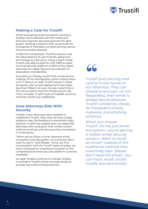

#### **Making a Case for Trustifi**

While evaluating email encryption solutions, Shipley was frustrated with the nickel and dime pricing that required payment for each plugin. Seeking a solution that would scale for thousands of members, complex pricing was an insurmountable obstacle.

Unlike the competitors, Trustifi's solution was the ideal balance of user-friendly, advanced technology at a flat price. Using a SaaS model, Trustifi was able to partner with ISBA to resell its email security platform to 80% of the state's attorneys at a deep discount as a benefit of association membership.

According to Shipley, small firms comprise the majority of his membership, which means there is no IT person on staff. Trustifi excels in these situations with simple deployment that takes less than fifteen minutes. He also noted that in the rare occasion that the infrastructure was more complex, Trustifi took immediate action to remotely rectify any roadblocks.

#### **Iowa Attorneys Side With Security**

Initially, many attorneys were hesitant to implement Trustifi. Now, that we have a large adoption rate, the feedback is overwhelmingly positive. Trustifi has swayed even our seasoned attorneys who have gone their whole careers without email security because they considered it unnecessary.

"*When all you know is time-intensive email encryption and decryption, of course you don't want to use it*," said Shipley. "*Since our first conversation with the Trustifi team to today, we have witnessed an impressive evolution to the comprehensive email security platform currently available*."

As cyber threats continue to change, Shipley is confident Trustifi will be one step ahead to provide top-notch email protection.

## "

*Trustifi puts security and control in the hands of our attorneys. They can choose to encrypt—or not. Regardless, their email is always secure because Trustifi constantly checks for fraudulent emails, malware, and phishing schemes.*

*When you choose Trustifi, it's not just email encryption—you're getting a holistic email security solution. Want to recall an email? Instead of the traditional method that essentially says "please don't read this email," you can track, recall, and/or modify any sent emails.*